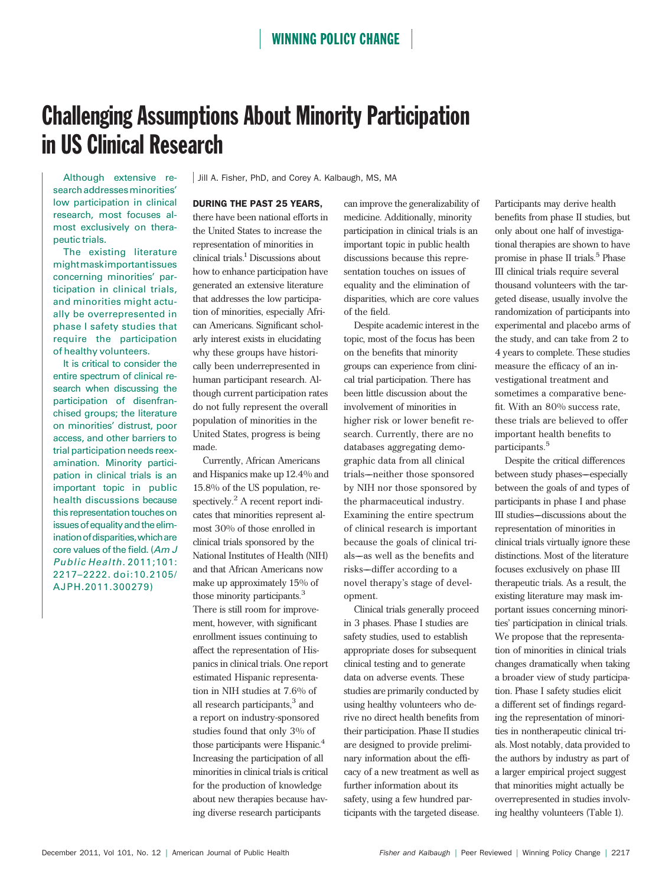# Challenging Assumptions About Minority Participation in US Clinical Research

Although extensive research addressesminorities' low participation in clinical research, most focuses almost exclusively on therapeutic trials.

The existing literature mightmaskimportantissues concerning minorities' participation in clinical trials, and minorities might actually be overrepresented in phase I safety studies that require the participation of healthy volunteers.

It is critical to consider the entire spectrum of clinical research when discussing the participation of disenfranchised groups; the literature on minorities' distrust, poor access, and other barriers to trial participation needs reexamination. Minority participation in clinical trials is an important topic in public health discussions because this representation touches on issues of equality and the elimination of disparities, which are core values of the field. (Am J Public Health. 2011;101: 2217–2222. doi:10.2105/ AJPH.2011.300279)

Jill A. Fisher, PhD, and Corey A. Kalbaugh, MS, MA

#### DURING THE PAST 25 YEARS,

there have been national efforts in the United States to increase the representation of minorities in clinical trials.<sup>1</sup> Discussions about how to enhance participation have generated an extensive literature that addresses the low participation of minorities, especially African Americans. Significant scholarly interest exists in elucidating why these groups have historically been underrepresented in human participant research. Although current participation rates do not fully represent the overall population of minorities in the United States, progress is being made.

Currently, African Americans and Hispanics make up 12.4% and 15.8% of the US population, respectively.<sup>2</sup> A recent report indicates that minorities represent almost 30% of those enrolled in clinical trials sponsored by the National Institutes of Health (NIH) and that African Americans now make up approximately 15% of those minority participants.<sup>3</sup> There is still room for improvement, however, with significant enrollment issues continuing to affect the representation of Hispanics in clinical trials. One report estimated Hispanic representation in NIH studies at 7.6% of all research participants,<sup>3</sup> and a report on industry-sponsored studies found that only 3% of those participants were Hispanic.<sup>4</sup> Increasing the participation of all minorities in clinical trials is critical for the production of knowledge about new therapies because having diverse research participants

can improve the generalizability of medicine. Additionally, minority participation in clinical trials is an important topic in public health discussions because this representation touches on issues of equality and the elimination of disparities, which are core values of the field.

Despite academic interest in the topic, most of the focus has been on the benefits that minority groups can experience from clinical trial participation. There has been little discussion about the involvement of minorities in higher risk or lower benefit research. Currently, there are no databases aggregating demographic data from all clinical trials––neither those sponsored by NIH nor those sponsored by the pharmaceutical industry. Examining the entire spectrum of clinical research is important because the goals of clinical trials––as well as the benefits and risks––differ according to a novel therapy's stage of development.

Clinical trials generally proceed in 3 phases. Phase I studies are safety studies, used to establish appropriate doses for subsequent clinical testing and to generate data on adverse events. These studies are primarily conducted by using healthy volunteers who derive no direct health benefits from their participation. Phase II studies are designed to provide preliminary information about the efficacy of a new treatment as well as further information about its safety, using a few hundred participants with the targeted disease.

Participants may derive health benefits from phase II studies, but only about one half of investigational therapies are shown to have promise in phase II trials.<sup>5</sup> Phase III clinical trials require several thousand volunteers with the targeted disease, usually involve the randomization of participants into experimental and placebo arms of the study, and can take from 2 to 4 years to complete. These studies measure the efficacy of an investigational treatment and sometimes a comparative benefit. With an 80% success rate, these trials are believed to offer important health benefits to participants.<sup>5</sup>

Despite the critical differences between study phases––especially between the goals of and types of participants in phase I and phase III studies––discussions about the representation of minorities in clinical trials virtually ignore these distinctions. Most of the literature focuses exclusively on phase III therapeutic trials. As a result, the existing literature may mask important issues concerning minorities' participation in clinical trials. We propose that the representation of minorities in clinical trials changes dramatically when taking a broader view of study participation. Phase I safety studies elicit a different set of findings regarding the representation of minorities in nontherapeutic clinical trials. Most notably, data provided to the authors by industry as part of a larger empirical project suggest that minorities might actually be overrepresented in studies involving healthy volunteers (Table 1).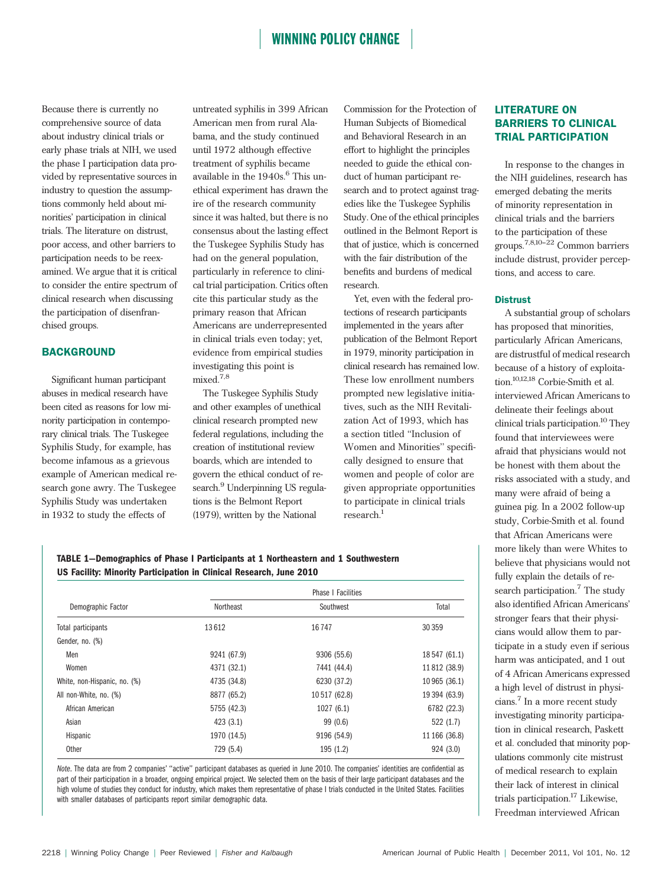Because there is currently no comprehensive source of data about industry clinical trials or early phase trials at NIH, we used the phase I participation data provided by representative sources in industry to question the assumptions commonly held about minorities' participation in clinical trials. The literature on distrust, poor access, and other barriers to participation needs to be reexamined. We argue that it is critical to consider the entire spectrum of clinical research when discussing the participation of disenfranchised groups.

## **BACKGROUND**

Significant human participant abuses in medical research have been cited as reasons for low minority participation in contemporary clinical trials. The Tuskegee Syphilis Study, for example, has become infamous as a grievous example of American medical research gone awry. The Tuskegee Syphilis Study was undertaken in 1932 to study the effects of

untreated syphilis in 399 African American men from rural Alabama, and the study continued until 1972 although effective treatment of syphilis became available in the  $1940s$ .<sup>6</sup> This unethical experiment has drawn the ire of the research community since it was halted, but there is no consensus about the lasting effect the Tuskegee Syphilis Study has had on the general population, particularly in reference to clinical trial participation. Critics often cite this particular study as the primary reason that African Americans are underrepresented in clinical trials even today; yet, evidence from empirical studies investigating this point is mixed.7,8

The Tuskegee Syphilis Study and other examples of unethical clinical research prompted new federal regulations, including the creation of institutional review boards, which are intended to govern the ethical conduct of research.<sup>9</sup> Underpinning US regulations is the Belmont Report (1979), written by the National

Commission for the Protection of Human Subjects of Biomedical and Behavioral Research in an effort to highlight the principles needed to guide the ethical conduct of human participant research and to protect against tragedies like the Tuskegee Syphilis Study. One of the ethical principles outlined in the Belmont Report is that of justice, which is concerned with the fair distribution of the benefits and burdens of medical research.

Yet, even with the federal protections of research participants implemented in the years after publication of the Belmont Report in 1979, minority participation in clinical research has remained low. These low enrollment numbers prompted new legislative initiatives, such as the NIH Revitalization Act of 1993, which has a section titled ''Inclusion of Women and Minorities'' specifically designed to ensure that women and people of color are given appropriate opportunities to participate in clinical trials research.<sup>1</sup>

## LITERATURE ON BARRIERS TO CLINICAL TRIAL PARTICIPATION

In response to the changes in the NIH guidelines, research has emerged debating the merits of minority representation in clinical trials and the barriers to the participation of these groups.<sup>7,8,10-22</sup> Common barriers include distrust, provider perceptions, and access to care.

#### **Distrust**

A substantial group of scholars has proposed that minorities, particularly African Americans, are distrustful of medical research because of a history of exploitation.10,12,18 Corbie-Smith et al. interviewed African Americans to delineate their feelings about clinical trials participation.<sup>10</sup> They found that interviewees were afraid that physicians would not be honest with them about the risks associated with a study, and many were afraid of being a guinea pig. In a 2002 follow-up study, Corbie-Smith et al. found that African Americans were more likely than were Whites to believe that physicians would not fully explain the details of research participation.<sup>7</sup> The study also identified African Americans' stronger fears that their physicians would allow them to participate in a study even if serious harm was anticipated, and 1 out of 4 African Americans expressed a high level of distrust in physicians.<sup>7</sup> In a more recent study investigating minority participation in clinical research, Paskett et al. concluded that minority populations commonly cite mistrust of medical research to explain their lack of interest in clinical trials participation.17 Likewise, Freedman interviewed African

#### TABLE 1—Demographics of Phase I Participants at 1 Northeastern and 1 Southwestern US Facility: Minority Participation in Clinical Research, June 2010

| Demographic Factor           | <b>Phase I Facilities</b> |               |               |
|------------------------------|---------------------------|---------------|---------------|
|                              | Northeast                 | Southwest     | Total         |
| Total participants           | 13612                     | 16747         | 30 359        |
| Gender, no. (%)              |                           |               |               |
| Men                          | 9241 (67.9)               | 9306 (55.6)   | 18 547 (61.1) |
| Women                        | 4371 (32.1)               | 7441 (44.4)   | 11 812 (38.9) |
| White, non-Hispanic, no. (%) | 4735 (34.8)               | 6230 (37.2)   | 10 965 (36.1) |
| All non-White, no. (%)       | 8877 (65.2)               | 10 517 (62.8) | 19 394 (63.9) |
| African American             | 5755 (42.3)               | 1027(6.1)     | 6782 (22.3)   |
| Asian                        | 423(3.1)                  | 99(0.6)       | 522(1.7)      |
| Hispanic                     | 1970 (14.5)               | 9196 (54.9)   | 11 166 (36.8) |
| Other                        | 729 (5.4)                 | 195(1.2)      | 924(3.0)      |

Note. The data are from 2 companies' ''active'' participant databases as queried in June 2010. The companies' identities are confidential as part of their participation in a broader, ongoing empirical project. We selected them on the basis of their large participant databases and the high volume of studies they conduct for industry, which makes them representative of phase I trials conducted in the United States. Facilities with smaller databases of participants report similar demographic data.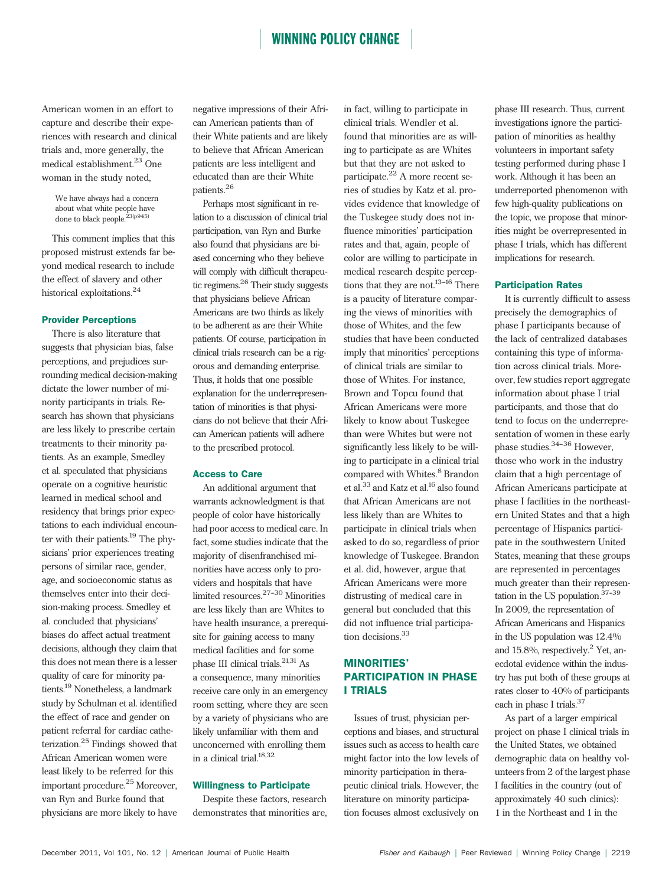American women in an effort to capture and describe their experiences with research and clinical trials and, more generally, the medical establishment.<sup>23</sup> One woman in the study noted,

> We have always had a concern about what white people have<br>done to black people.<sup>23(p945)</sup>

This comment implies that this proposed mistrust extends far beyond medical research to include the effect of slavery and other historical exploitations.<sup>24</sup>

#### Provider Perceptions

There is also literature that suggests that physician bias, false perceptions, and prejudices surrounding medical decision-making dictate the lower number of minority participants in trials. Research has shown that physicians are less likely to prescribe certain treatments to their minority patients. As an example, Smedley et al. speculated that physicians operate on a cognitive heuristic learned in medical school and residency that brings prior expectations to each individual encounter with their patients.19 The physicians' prior experiences treating persons of similar race, gender, age, and socioeconomic status as themselves enter into their decision-making process. Smedley et al. concluded that physicians' biases do affect actual treatment decisions, although they claim that this does not mean there is a lesser quality of care for minority patients.19 Nonetheless, a landmark study by Schulman et al. identified the effect of race and gender on patient referral for cardiac catheterization.<sup>25</sup> Findings showed that African American women were least likely to be referred for this important procedure.<sup>25</sup> Moreover, van Ryn and Burke found that physicians are more likely to have

negative impressions of their African American patients than of their White patients and are likely to believe that African American patients are less intelligent and educated than are their White patients.<sup>26</sup>

Perhaps most significant in relation to a discussion of clinical trial participation, van Ryn and Burke also found that physicians are biased concerning who they believe will comply with difficult therapeutic regimens.26 Their study suggests that physicians believe African Americans are two thirds as likely to be adherent as are their White patients. Of course, participation in clinical trials research can be a rigorous and demanding enterprise. Thus, it holds that one possible explanation for the underrepresentation of minorities is that physicians do not believe that their African American patients will adhere to the prescribed protocol.

#### Access to Care

An additional argument that warrants acknowledgment is that people of color have historically had poor access to medical care. In fact, some studies indicate that the majority of disenfranchised minorities have access only to providers and hospitals that have limited resources. $27-30$  Minorities are less likely than are Whites to have health insurance, a prerequisite for gaining access to many medical facilities and for some phase III clinical trials.<sup>21,31</sup> As a consequence, many minorities receive care only in an emergency room setting, where they are seen by a variety of physicians who are likely unfamiliar with them and unconcerned with enrolling them in a clinical trial.<sup>18,32</sup>

#### Willingness to Participate

Despite these factors, research demonstrates that minorities are, in fact, willing to participate in clinical trials. Wendler et al. found that minorities are as willing to participate as are Whites but that they are not asked to participate.<sup>22</sup> A more recent series of studies by Katz et al. provides evidence that knowledge of the Tuskegee study does not influence minorities' participation rates and that, again, people of color are willing to participate in medical research despite perceptions that they are not. $13-16$  There is a paucity of literature comparing the views of minorities with those of Whites, and the few studies that have been conducted imply that minorities' perceptions of clinical trials are similar to those of Whites. For instance, Brown and Topcu found that African Americans were more likely to know about Tuskegee than were Whites but were not significantly less likely to be willing to participate in a clinical trial compared with Whites.<sup>8</sup> Brandon et al.<sup>33</sup> and Katz et al.<sup>16</sup> also found that African Americans are not less likely than are Whites to participate in clinical trials when asked to do so, regardless of prior knowledge of Tuskegee. Brandon et al. did, however, argue that African Americans were more distrusting of medical care in general but concluded that this did not influence trial participation decisions<sup>33</sup>

# MINORITIES' PARTICIPATION IN PHASE I TRIALS

Issues of trust, physician perceptions and biases, and structural issues such as access to health care might factor into the low levels of minority participation in therapeutic clinical trials. However, the literature on minority participation focuses almost exclusively on

phase III research. Thus, current investigations ignore the participation of minorities as healthy volunteers in important safety testing performed during phase I work. Although it has been an underreported phenomenon with few high-quality publications on the topic, we propose that minorities might be overrepresented in phase I trials, which has different implications for research.

#### Participation Rates

It is currently difficult to assess precisely the demographics of phase I participants because of the lack of centralized databases containing this type of information across clinical trials. Moreover, few studies report aggregate information about phase I trial participants, and those that do tend to focus on the underrepresentation of women in these early phase studies. $34-36$  However, those who work in the industry claim that a high percentage of African Americans participate at phase I facilities in the northeastern United States and that a high percentage of Hispanics participate in the southwestern United States, meaning that these groups are represented in percentages much greater than their representation in the US population. $37-39$ In 2009, the representation of African Americans and Hispanics in the US population was 12.4% and  $15.8\%$ , respectively.<sup>2</sup> Yet, anecdotal evidence within the industry has put both of these groups at rates closer to 40% of participants each in phase I trials.<sup>37</sup>

As part of a larger empirical project on phase I clinical trials in the United States, we obtained demographic data on healthy volunteers from 2 of the largest phase I facilities in the country (out of approximately 40 such clinics): 1 in the Northeast and 1 in the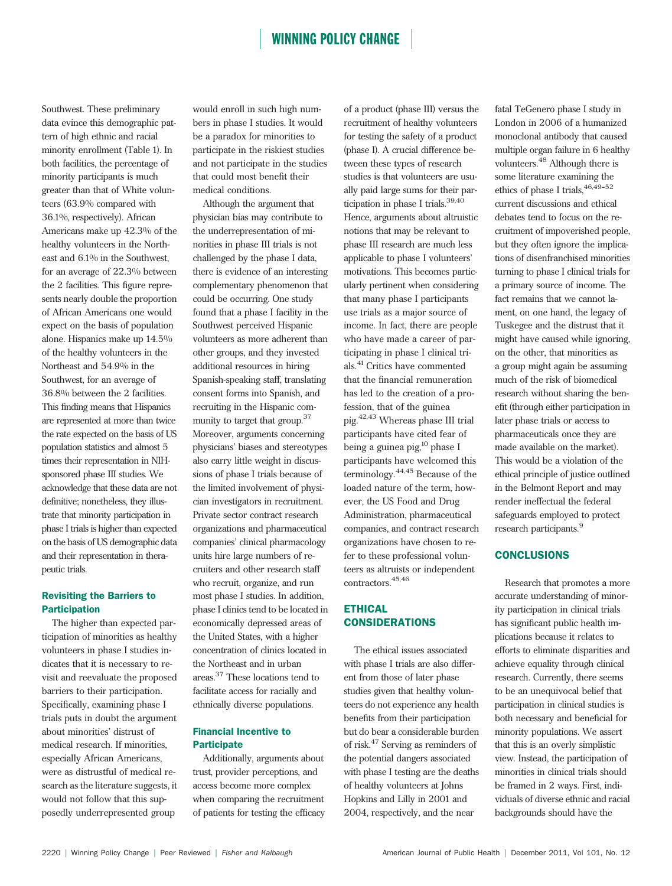Southwest. These preliminary data evince this demographic pattern of high ethnic and racial minority enrollment (Table 1). In both facilities, the percentage of minority participants is much greater than that of White volunteers (63.9% compared with 36.1%, respectively). African Americans make up 42.3% of the healthy volunteers in the Northeast and 6.1% in the Southwest, for an average of 22.3% between the 2 facilities. This figure represents nearly double the proportion of African Americans one would expect on the basis of population alone. Hispanics make up 14.5% of the healthy volunteers in the Northeast and 54.9% in the Southwest, for an average of 36.8% between the 2 facilities. This finding means that Hispanics are represented at more than twice the rate expected on the basis of US population statistics and almost 5 times their representation in NIHsponsored phase III studies. We acknowledge that these data are not definitive; nonetheless, they illustrate that minority participation in phase I trials is higher than expected on the basis of US demographic data and their representation in therapeutic trials.

## Revisiting the Barriers to **Participation**

The higher than expected participation of minorities as healthy volunteers in phase I studies indicates that it is necessary to revisit and reevaluate the proposed barriers to their participation. Specifically, examining phase I trials puts in doubt the argument about minorities' distrust of medical research. If minorities, especially African Americans, were as distrustful of medical research as the literature suggests, it would not follow that this supposedly underrepresented group

would enroll in such high numbers in phase I studies. It would be a paradox for minorities to participate in the riskiest studies and not participate in the studies that could most benefit their medical conditions.

Although the argument that physician bias may contribute to the underrepresentation of minorities in phase III trials is not challenged by the phase I data, there is evidence of an interesting complementary phenomenon that could be occurring. One study found that a phase I facility in the Southwest perceived Hispanic volunteers as more adherent than other groups, and they invested additional resources in hiring Spanish-speaking staff, translating consent forms into Spanish, and recruiting in the Hispanic community to target that group.<sup>37</sup> Moreover, arguments concerning physicians' biases and stereotypes also carry little weight in discussions of phase I trials because of the limited involvement of physician investigators in recruitment. Private sector contract research organizations and pharmaceutical companies' clinical pharmacology units hire large numbers of recruiters and other research staff who recruit, organize, and run most phase I studies. In addition, phase I clinics tend to be located in economically depressed areas of the United States, with a higher concentration of clinics located in the Northeast and in urban areas.37 These locations tend to facilitate access for racially and ethnically diverse populations.

## Financial Incentive to **Participate**

Additionally, arguments about trust, provider perceptions, and access become more complex when comparing the recruitment of patients for testing the efficacy of a product (phase III) versus the recruitment of healthy volunteers for testing the safety of a product (phase I). A crucial difference between these types of research studies is that volunteers are usually paid large sums for their participation in phase I trials.<sup>39,40</sup> Hence, arguments about altruistic notions that may be relevant to phase III research are much less applicable to phase I volunteers' motivations. This becomes particularly pertinent when considering that many phase I participants use trials as a major source of income. In fact, there are people who have made a career of participating in phase I clinical trials.<sup>41</sup> Critics have commented that the financial remuneration has led to the creation of a profession, that of the guinea pig.42,43 Whereas phase III trial participants have cited fear of being a guinea pig,<sup>10</sup> phase I participants have welcomed this terminology.44,45 Because of the loaded nature of the term, however, the US Food and Drug Administration, pharmaceutical companies, and contract research organizations have chosen to refer to these professional volunteers as altruists or independent contractors.  $45,46$ 

# ETHICAL CONSIDERATIONS

The ethical issues associated with phase I trials are also different from those of later phase studies given that healthy volunteers do not experience any health benefits from their participation but do bear a considerable burden of risk.47 Serving as reminders of the potential dangers associated with phase I testing are the deaths of healthy volunteers at Johns Hopkins and Lilly in 2001 and 2004, respectively, and the near

fatal TeGenero phase I study in London in 2006 of a humanized monoclonal antibody that caused multiple organ failure in 6 healthy volunteers.<sup>48</sup> Although there is some literature examining the ethics of phase I trials,  $46,49-52$ current discussions and ethical debates tend to focus on the recruitment of impoverished people, but they often ignore the implications of disenfranchised minorities turning to phase I clinical trials for a primary source of income. The fact remains that we cannot lament, on one hand, the legacy of Tuskegee and the distrust that it might have caused while ignoring, on the other, that minorities as a group might again be assuming much of the risk of biomedical research without sharing the benefit (through either participation in later phase trials or access to pharmaceuticals once they are made available on the market). This would be a violation of the ethical principle of justice outlined in the Belmont Report and may render ineffectual the federal safeguards employed to protect research participants.<sup>9</sup>

## **CONCLUSIONS**

Research that promotes a more accurate understanding of minority participation in clinical trials has significant public health implications because it relates to efforts to eliminate disparities and achieve equality through clinical research. Currently, there seems to be an unequivocal belief that participation in clinical studies is both necessary and beneficial for minority populations. We assert that this is an overly simplistic view. Instead, the participation of minorities in clinical trials should be framed in 2 ways. First, individuals of diverse ethnic and racial backgrounds should have the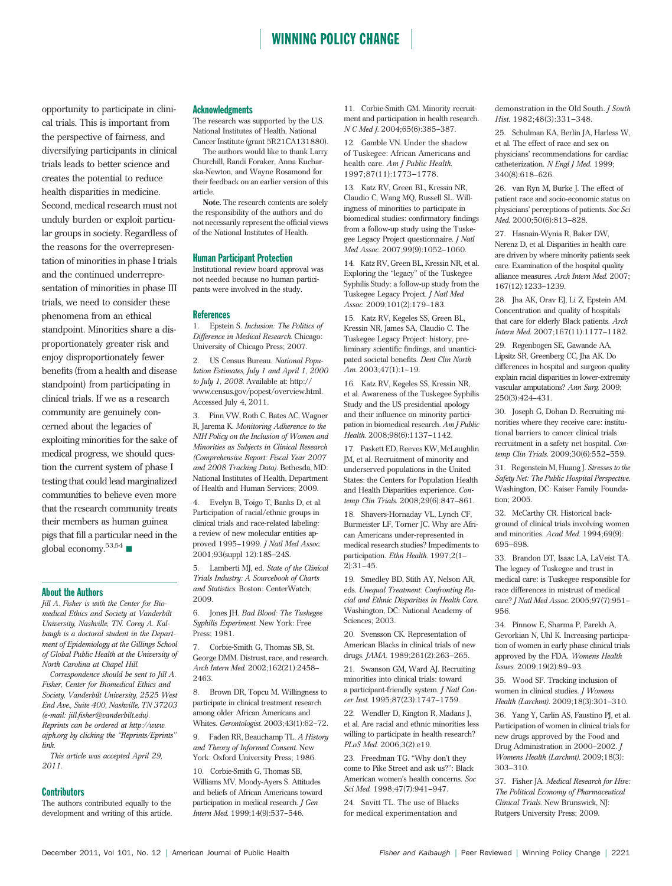opportunity to participate in clinical trials. This is important from the perspective of fairness, and diversifying participants in clinical trials leads to better science and creates the potential to reduce health disparities in medicine. Second, medical research must not unduly burden or exploit particular groups in society. Regardless of the reasons for the overrepresentation of minorities in phase I trials and the continued underrepresentation of minorities in phase III trials, we need to consider these phenomena from an ethical standpoint. Minorities share a disproportionately greater risk and enjoy disproportionately fewer benefits (from a health and disease standpoint) from participating in clinical trials. If we as a research community are genuinely concerned about the legacies of exploiting minorities for the sake of medical progress, we should question the current system of phase I testing that could lead marginalized communities to believe even more that the research community treats their members as human guinea pigs that fill a particular need in the global economy.<sup>53,54</sup>

#### About the Authors

Jill A. Fisher is with the Center for Biomedical Ethics and Society at Vanderbilt University, Nashville, TN. Corey A. Kalbaugh is a doctoral student in the Department of Epidemiology at the Gillings School of Global Public Health at the University of North Carolina at Chapel Hill.

Correspondence should be sent to Jill A. Fisher, Center for Biomedical Ethics and Society, Vanderbilt University, 2525 West End Ave., Suite 400, Nashville, TN 37203 (e-mail: jill.fisher@vanderbilt.edu). Reprints can be ordered at http://www.

ajph.org by clicking the ''Reprints/Eprints'' link.

This article was accepted April 29, 2011.

#### **Contributors**

The authors contributed equally to the development and writing of this article.

#### **Acknowledgments**

The research was supported by the U.S. National Institutes of Health, National Cancer Institute (grant 5R21CA131880).

The authors would like to thank Larry Churchill, Randi Foraker, Anna Kucharska-Newton, and Wayne Rosamond for their feedback on an earlier version of this article.

Note. The research contents are solely the responsibility of the authors and do not necessarily represent the official views of the National Institutes of Health.

#### Human Participant Protection

Institutional review board approval was not needed because no human participants were involved in the study.

#### **References**

1. Epstein S. Inclusion: The Politics of Difference in Medical Research. Chicago: University of Chicago Press; 2007.

2. US Census Bureau. National Population Estimates, July 1 and April 1, 2000 to July 1, 2008. Available at: http:// www.census.gov/popest/overview.html. Accessed July 4, 2011.

3. Pinn VW, Roth C, Bates AC, Wagner R, Jarema K. Monitoring Adherence to the NIH Policy on the Inclusion of Women and Minorities as Subjects in Clinical Research (Comprehensive Report: Fiscal Year 2007 and 2008 Tracking Data). Bethesda, MD: National Institutes of Health, Department of Health and Human Services; 2009.

4. Evelyn B, Toigo T, Banks D, et al. Participation of racial/ethnic groups in clinical trials and race-related labeling: a review of new molecular entities approved 1995-1999. J Natl Med Assoc. 2001;93(suppl 12):18S-24S.

5. Lamberti MJ, ed. State of the Clinical Trials Industry: A Sourcebook of Charts and Statistics. Boston: CenterWatch; 2009.

6. Jones JH. Bad Blood: The Tuskegee Syphilis Experiment. New York: Free Press; 1981.

7. Corbie-Smith G, Thomas SB, St. George DMM. Distrust, race, and research. Arch Intern Med. 2002;162(21):2458-2463.

8. Brown DR, Topcu M. Willingness to participate in clinical treatment research among older African Americans and Whites. Gerontologist. 2003;43(1):62-72.

9. Faden RR, Beauchamp TL. A History and Theory of Informed Consent. New York: Oxford University Press; 1986.

10. Corbie-Smith G, Thomas SB, Williams MV, Moody-Ayers S. Attitudes and beliefs of African Americans toward participation in medical research. J Gen  $[$ *Intern Med.* 1999;14(9):537-546.

11. Corbie-Smith GM. Minority recruitment and participation in health research. N C Med J. 2004;65(6):385-387.

12. Gamble VN. Under the shadow of Tuskegee: African Americans and health care. Am J Public Health. 1997;87(11):1773-1778.

13. Katz RV, Green BL, Kressin NR, Claudio C, Wang MQ, Russell SL. Willingness of minorities to participate in biomedical studies: confirmatory findings from a follow-up study using the Tuskegee Legacy Project questionnaire. J Natl Med Assoc. 2007;99(9):1052-1060.

14. Katz RV, Green BL, Kressin NR, et al. Exploring the ''legacy'' of the Tuskegee Syphilis Study: a follow-up study from the Tuskegee Legacy Project. J Natl Med Assoc. 2009;101(2):179-183.

15. Katz RV, Kegeles SS, Green BL, Kressin NR, James SA, Claudio C. The Tuskegee Legacy Project: history, preliminary scientific findings, and unanticipated societal benefits. Dent Clin North Am.  $2003:47(1):1-19$ .

16. Katz RV, Kegeles SS, Kressin NR, et al. Awareness of the Tuskegee Syphilis Study and the US presidential apology and their influence on minority participation in biomedical research. Am J Public Health. 2008;98(6):1137-1142.

17. Paskett ED, Reeves KW, McLaughlin JM, et al. Recruitment of minority and underserved populations in the United States: the Centers for Population Health and Health Disparities experience. Contemp Clin Trials. 2008;29(6):847-861.

18. Shavers-Hornaday VL, Lynch CF, Burmeister LF, Torner JC. Why are African Americans under-represented in medical research studies? Impediments to participation. Ethn Health. 1997;2(1- $2) \cdot 31 - 45$ 

19. Smedley BD, Stith AY, Nelson AR, eds. Unequal Treatment: Confronting Racial and Ethnic Disparities in Health Care. Washington, DC: National Academy of Sciences; 2003.

20. Svensson CK. Representation of American Blacks in clinical trials of new drugs. JAMA. 1989;261(2):263-265.

21. Swanson GM, Ward AJ. Recruiting minorities into clinical trials: toward a participant-friendly system. J Natl Cancer Inst. 1995;87(23):1747-1759.

22. Wendler D, Kington R, Madans J, et al. Are racial and ethnic minorities less willing to participate in health research? PLoS Med. 2006;3(2):e19.

23. Freedman TG. ''Why don't they come to Pike Street and ask us?'': Black American women's health concerns. Soc Sci Med. 1998;47(7):941-947.

24. Savitt TL. The use of Blacks for medical experimentation and

demonstration in the Old South. J South Hist. 1982;48(3):331-348.

25. Schulman KA, Berlin JA, Harless W, et al. The effect of race and sex on physicians' recommendations for cardiac catheterization. N Engl J Med. 1999; 340(8):618-626.

26. van Ryn M, Burke J. The effect of patient race and socio-economic status on physicians' perceptions of patients. Soc Sci Med. 2000;50(6):813-828.

27. Hasnain-Wynia R, Baker DW, Nerenz D, et al. Disparities in health care are driven by where minority patients seek care. Examination of the hospital quality alliance measures. Arch Intern Med. 2007; 167(12):1233-1239

28. Jha AK, Orav EJ, Li Z, Epstein AM. Concentration and quality of hospitals that care for elderly Black patients. Arch Intern Med. 2007;167(11):1177-1182.

29. Regenbogen SE, Gawande AA, Lipsitz SR, Greenberg CC, Jha AK. Do differences in hospital and surgeon quality explain racial disparities in lower-extremity vascular amputations? Ann Surg. 2009; 250(3):424-431.

30. Joseph G, Dohan D. Recruiting minorities where they receive care: institutional barriers to cancer clinical trials recruitment in a safety net hospital. Contemp Clin Trials. 2009;30(6):552-559.

31. Regenstein M, Huang J. Stresses to the Safety Net: The Public Hospital Perspective. Washington, DC: Kaiser Family Foundation; 2005.

32. McCarthy CR. Historical background of clinical trials involving women and minorities. Acad Med. 1994;69(9): 695-698

33. Brandon DT, Isaac LA, LaVeist TA. The legacy of Tuskegee and trust in medical care: is Tuskegee responsible for race differences in mistrust of medical care? *I Natl Med Assoc.* 2005:97(7):951-956.

34. Pinnow E, Sharma P, Parekh A, Gevorkian N, Uhl K. Increasing participation of women in early phase clinical trials approved by the FDA. Womens Health Issues. 2009;19(2):89-93.

35. Wood SF. Tracking inclusion of women in clinical studies. J Womens Health (Larchmt). 2009;18(3):301-310.

36. Yang Y, Carlin AS, Faustino PJ, et al. Participation of women in clinical trials for new drugs approved by the Food and Drug Administration in 2000-2002. J Womens Health (Larchmt). 2009;18(3): 303-310.

37. Fisher JA. Medical Research for Hire: The Political Economy of Pharmaceutical Clinical Trials. New Brunswick, NJ: Rutgers University Press; 2009.